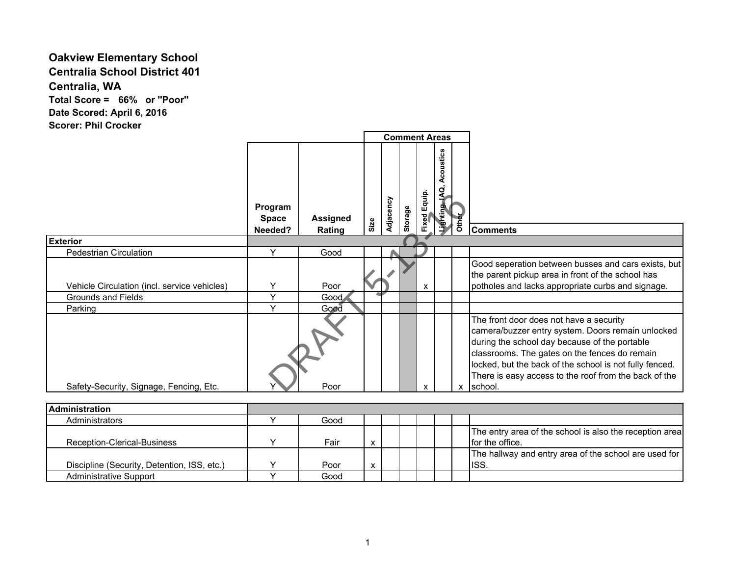## **Oakview Elementary School Centralia School District 401 Centralia, WA**

**Total Score = 66% or ''Poor'' Date Scored: April 6, 2016 Scorer: Phil Crocker**

|                                                                    |                                    |                           |      |           |         | <b>Comment Areas</b> |                                |       |                                                                                                                                                                                                                                                                                                                               |
|--------------------------------------------------------------------|------------------------------------|---------------------------|------|-----------|---------|----------------------|--------------------------------|-------|-------------------------------------------------------------------------------------------------------------------------------------------------------------------------------------------------------------------------------------------------------------------------------------------------------------------------------|
|                                                                    | Program<br><b>Space</b><br>Needed? | <b>Assigned</b><br>Rating | Size | Adjacency | Storage | Fixed Equip.         | Acoustics<br><b>DAI</b> enting | Other | <b>Comments</b>                                                                                                                                                                                                                                                                                                               |
| <b>Exterior</b>                                                    |                                    |                           |      |           |         |                      |                                |       |                                                                                                                                                                                                                                                                                                                               |
| <b>Pedestrian Circulation</b>                                      | Y                                  | Good                      |      |           |         |                      |                                |       |                                                                                                                                                                                                                                                                                                                               |
| Vehicle Circulation (incl. service vehicles)<br>Grounds and Fields | $\checkmark$<br>$\checkmark$       | Poor<br>Good              |      |           |         | X                    |                                |       | Good seperation between busses and cars exists, but<br>the parent pickup area in front of the school has<br>potholes and lacks appropriate curbs and signage.                                                                                                                                                                 |
| Parking                                                            | Y                                  | Good                      |      |           |         |                      |                                |       |                                                                                                                                                                                                                                                                                                                               |
| Safety-Security, Signage, Fencing, Etc.                            |                                    | Poor                      |      |           |         | X                    |                                | X     | The front door does not have a security<br>camera/buzzer entry system. Doors remain unlocked<br>during the school day because of the portable<br>classrooms. The gates on the fences do remain<br>locked, but the back of the school is not fully fenced.<br>There is easy access to the roof from the back of the<br>school. |

| <b>IAdministration</b>                      |      |   |  |  |                                                         |
|---------------------------------------------|------|---|--|--|---------------------------------------------------------|
| Administrators                              | Good |   |  |  |                                                         |
|                                             |      |   |  |  | The entry area of the school is also the reception area |
| Reception-Clerical-Business                 | Fair | x |  |  | for the office.                                         |
|                                             |      |   |  |  | The hallway and entry area of the school are used for   |
| Discipline (Security, Detention, ISS, etc.) | Poor | X |  |  | IISS.                                                   |
| <b>Administrative Support</b>               | Good |   |  |  |                                                         |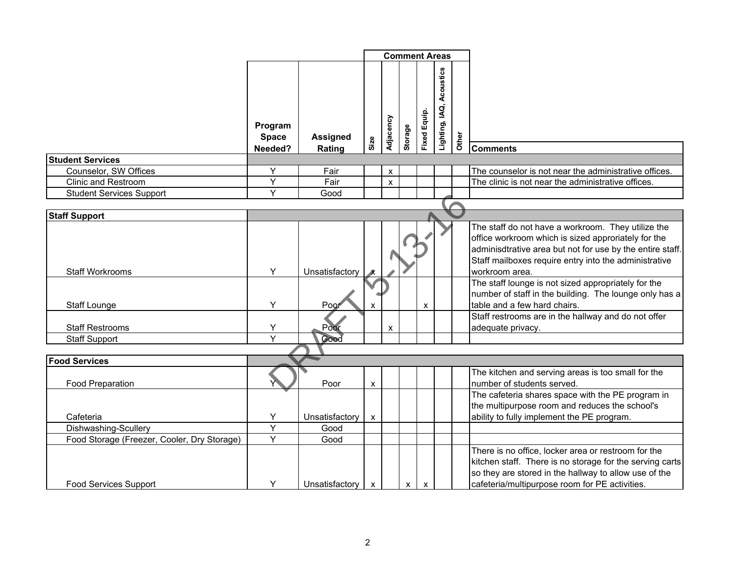|                                                 |                                    |                           | <b>Comment Areas</b>      |                    |              |                           |                             |       |                                                                                                                                                                                                                                                   |
|-------------------------------------------------|------------------------------------|---------------------------|---------------------------|--------------------|--------------|---------------------------|-----------------------------|-------|---------------------------------------------------------------------------------------------------------------------------------------------------------------------------------------------------------------------------------------------------|
|                                                 | Program<br><b>Space</b><br>Needed? | <b>Assigned</b><br>Rating | Size                      | Adjacency          | Storage      | Fixed Equip.              | Acoustics<br>Lighting, IAQ, | Other | <b>Comments</b>                                                                                                                                                                                                                                   |
| <b>Student Services</b>                         |                                    |                           |                           |                    |              |                           |                             |       |                                                                                                                                                                                                                                                   |
| Counselor, SW Offices                           | Y                                  | Fair                      |                           | $\pmb{\chi}$       |              |                           |                             |       | The counselor is not near the administrative offices.                                                                                                                                                                                             |
| <b>Clinic and Restroom</b>                      | Y                                  | Fair                      |                           | $\pmb{\mathsf{x}}$ |              |                           |                             |       | The clinic is not near the administrative offices.                                                                                                                                                                                                |
| <b>Student Services Support</b>                 | Y                                  | Good                      |                           |                    |              |                           |                             |       |                                                                                                                                                                                                                                                   |
|                                                 |                                    |                           |                           |                    |              |                           |                             |       |                                                                                                                                                                                                                                                   |
| <b>Staff Support</b>                            |                                    |                           |                           |                    |              |                           |                             |       |                                                                                                                                                                                                                                                   |
| <b>Staff Workrooms</b>                          | Y                                  | Unsatisfactory            |                           |                    |              |                           |                             |       | The staff do not have a workroom. They utilize the<br>office workroom which is sized approriately for the<br>adminisdtrative area but not for use by the entire staff.<br>Staff mailboxes require entry into the administrative<br>workroom area. |
| <b>Staff Lounge</b>                             | Y                                  | Poor                      |                           |                    |              | X                         |                             |       | The staff lounge is not sized appropriately for the<br>number of staff in the building. The lounge only has a<br>table and a few hard chairs.                                                                                                     |
| <b>Staff Restrooms</b>                          | Y<br>Y                             | Poor                      |                           | $\pmb{\mathsf{X}}$ |              |                           |                             |       | Staff restrooms are in the hallway and do not offer<br>adequate privacy.                                                                                                                                                                          |
| Staff Support                                   |                                    | Good                      |                           |                    |              |                           |                             |       |                                                                                                                                                                                                                                                   |
|                                                 |                                    |                           |                           |                    |              |                           |                             |       |                                                                                                                                                                                                                                                   |
| <b>Food Services</b><br><b>Food Preparation</b> |                                    | Poor                      | $\boldsymbol{\mathsf{x}}$ |                    |              |                           |                             |       | The kitchen and serving areas is too small for the<br>number of students served.<br>The cafeteria shares space with the PE program in<br>the multipurpose room and reduces the school's                                                           |
| Cafeteria                                       | Y                                  | Unsatisfactory            | $\pmb{\mathsf{x}}$        |                    |              |                           |                             |       | ability to fully implement the PE program.                                                                                                                                                                                                        |
| Dishwashing-Scullery                            | Y                                  | Good                      |                           |                    |              |                           |                             |       |                                                                                                                                                                                                                                                   |
| Food Storage (Freezer, Cooler, Dry Storage)     | $\overline{Y}$                     | Good                      |                           |                    |              |                           |                             |       |                                                                                                                                                                                                                                                   |
| <b>Food Services Support</b>                    | Y                                  | Unsatisfactory x          |                           |                    | $\mathsf{x}$ | $\boldsymbol{\mathsf{x}}$ |                             |       | There is no office, locker area or restroom for the<br>kitchen staff. There is no storage for the serving carts<br>so they are stored in the hallway to allow use of the<br>cafeteria/multipurpose room for PE activities.                        |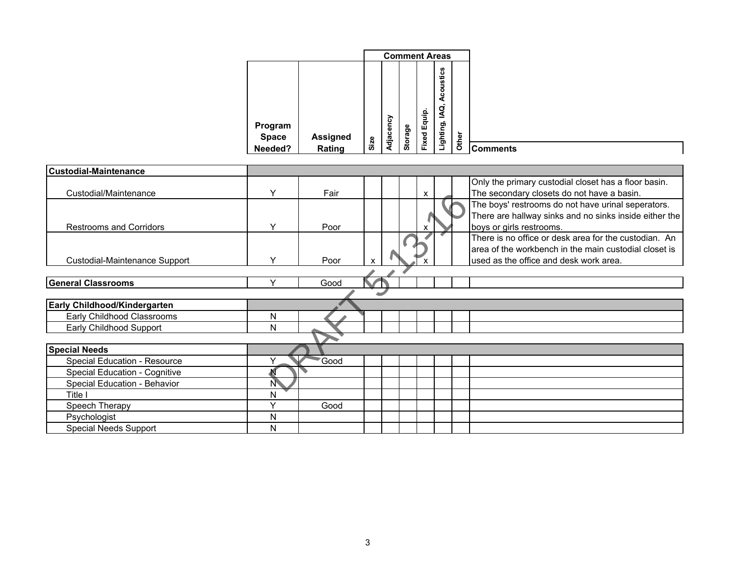|              |                 |      |         |         | <b>Comment Areas</b> |                   |                 |
|--------------|-----------------|------|---------|---------|----------------------|-------------------|-----------------|
| Program      |                 |      |         |         | Equip.               | Acoustics<br>IAQ, |                 |
| <b>Space</b> | <b>Assigned</b> |      | jacency | Storage | Fixed                | Lighting,         | Other           |
| Needed?      | Rating          | Size | Ë       |         |                      |                   | <b>Comments</b> |

| <b>Custodial-Maintenance</b>         |              |      |   |  |                           |  |                                                        |
|--------------------------------------|--------------|------|---|--|---------------------------|--|--------------------------------------------------------|
|                                      |              |      |   |  |                           |  | Only the primary custodial closet has a floor basin.   |
| Custodial/Maintenance                | v            | Fair |   |  |                           |  | The secondary closets do not have a basin.             |
|                                      |              |      |   |  | $\boldsymbol{\mathsf{x}}$ |  |                                                        |
|                                      |              |      |   |  |                           |  | The boys' restrooms do not have urinal seperators.     |
|                                      |              |      |   |  |                           |  | There are hallway sinks and no sinks inside either the |
| <b>Restrooms and Corridors</b>       | Υ            | Poor |   |  | x                         |  | boys or girls restrooms.                               |
|                                      |              |      |   |  |                           |  | There is no office or desk area for the custodian. An  |
|                                      |              |      |   |  |                           |  | area of the workbench in the main custodial closet is  |
| Custodial-Maintenance Support        | Y            | Poor | X |  |                           |  | used as the office and desk work area.                 |
|                                      |              |      |   |  |                           |  |                                                        |
| <b>General Classrooms</b>            | $\checkmark$ | Good |   |  |                           |  |                                                        |
|                                      |              |      |   |  |                           |  |                                                        |
| <b>Early Childhood/Kindergarten</b>  |              |      |   |  |                           |  |                                                        |
| Early Childhood Classrooms           | N            |      |   |  |                           |  |                                                        |
| Early Childhood Support              | N            |      |   |  |                           |  |                                                        |
|                                      |              |      |   |  |                           |  |                                                        |
| <b>Special Needs</b>                 |              |      |   |  |                           |  |                                                        |
| Special Education - Resource         |              | Good |   |  |                           |  |                                                        |
| <b>Special Education - Cognitive</b> |              |      |   |  |                           |  |                                                        |
| Special Education - Behavior         | N            |      |   |  |                           |  |                                                        |
| Title I                              | N            |      |   |  |                           |  |                                                        |
| Speech Therapy                       | $\checkmark$ | Good |   |  |                           |  |                                                        |
| Psychologist                         | N            |      |   |  |                           |  |                                                        |
| <b>Special Needs Support</b>         | N            |      |   |  |                           |  |                                                        |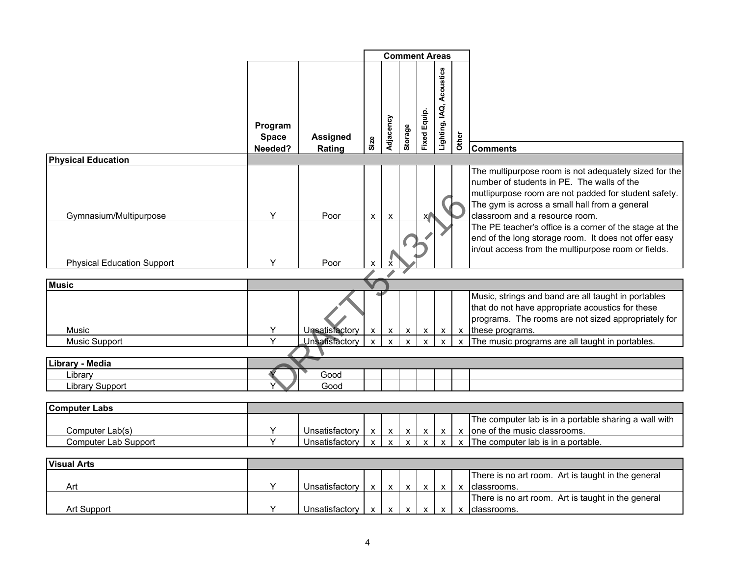|                                                |                                    |                                                | <b>Comment Areas</b>               |                                          |                                           |                               |                                                        |                              |                                                                                                                                                                                                                                                |
|------------------------------------------------|------------------------------------|------------------------------------------------|------------------------------------|------------------------------------------|-------------------------------------------|-------------------------------|--------------------------------------------------------|------------------------------|------------------------------------------------------------------------------------------------------------------------------------------------------------------------------------------------------------------------------------------------|
|                                                | Program<br><b>Space</b><br>Needed? | <b>Assigned</b><br>Rating                      | Size                               | Adjacency                                | Storage                                   | <b>Fixed Equip.</b>           | Acoustics<br>Lighting, IAQ,                            | Other                        | <b>Comments</b>                                                                                                                                                                                                                                |
| <b>Physical Education</b>                      |                                    |                                                |                                    |                                          |                                           |                               |                                                        |                              |                                                                                                                                                                                                                                                |
| Gymnasium/Multipurpose                         | Y                                  | Poor                                           | X                                  | X                                        |                                           | X                             |                                                        |                              | The multipurpose room is not adequately sized for the<br>number of students in PE. The walls of the<br>mutlipurpose room are not padded for student safety.<br>The gym is across a small hall from a general<br>classroom and a resource room. |
| <b>Physical Education Support</b>              | Y                                  | Poor                                           | X                                  |                                          |                                           |                               |                                                        |                              | The PE teacher's office is a corner of the stage at the<br>end of the long storage room. It does not offer easy<br>in/out access from the multipurpose room or fields.                                                                         |
|                                                |                                    |                                                |                                    |                                          |                                           |                               |                                                        |                              |                                                                                                                                                                                                                                                |
| <b>Music</b>                                   |                                    |                                                |                                    |                                          |                                           |                               |                                                        |                              |                                                                                                                                                                                                                                                |
| Music<br><b>Music Support</b>                  | Υ<br>$\overline{Y}$                | Unsatisfactory<br>Unsatisfactory               | $\mathbf{x}$<br>$\mathsf{x}$       | $\pmb{\mathsf{X}}$<br>$\mathsf{x}$       | $\mathsf{X}$<br>$\boldsymbol{\mathsf{x}}$ | $\mathsf{X}$<br>X             | $\mathsf{X}$<br>$\boldsymbol{\mathsf{x}}$              | $\mathsf{x}$<br>X            | Music, strings and band are all taught in portables<br>that do not have appropriate acoustics for these<br>programs. The rooms are not sized appropriately for<br>these programs.<br>The music programs are all taught in portables.           |
|                                                |                                    |                                                |                                    |                                          |                                           |                               |                                                        |                              |                                                                                                                                                                                                                                                |
| Library - Media                                |                                    | Good                                           |                                    |                                          |                                           |                               |                                                        |                              |                                                                                                                                                                                                                                                |
| Library<br><b>Library Support</b>              |                                    | Good                                           |                                    |                                          |                                           |                               |                                                        |                              |                                                                                                                                                                                                                                                |
|                                                |                                    |                                                |                                    |                                          |                                           |                               |                                                        |                              |                                                                                                                                                                                                                                                |
| <b>Computer Labs</b>                           |                                    |                                                |                                    |                                          |                                           |                               |                                                        |                              |                                                                                                                                                                                                                                                |
| Computer Lab(s)<br><b>Computer Lab Support</b> | Y<br>Y                             | Unsatisfactory<br>Unsatisfactory               | $\pmb{\mathsf{X}}$<br>$\pmb{\chi}$ | $\mathsf X$<br>$\boldsymbol{\mathsf{x}}$ | $\pmb{\chi}$<br>$\boldsymbol{\mathsf{x}}$ | $\mathsf X$<br>$\pmb{\times}$ | $\boldsymbol{\mathsf{x}}$<br>$\boldsymbol{\mathsf{x}}$ | $\mathsf{x}$<br>$\mathbf{x}$ | The computer lab is in a portable sharing a wall with<br>one of the music classrooms.<br>The computer lab is in a portable.                                                                                                                    |
| <b>Visual Arts</b>                             |                                    |                                                |                                    |                                          |                                           |                               |                                                        |                              |                                                                                                                                                                                                                                                |
| Art                                            | Y                                  | Unsatisfactory                                 | $\mathbf{x}$                       | $\mathbf{x}$                             | $\mathsf{X}$                              | $\mathsf{X}$                  | $\mathsf{x}$                                           | $\boldsymbol{\mathsf{x}}$    | There is no art room. Art is taught in the general<br>classrooms.                                                                                                                                                                              |
| Art Support                                    | Y                                  | Unsatisfactory $x \mid x \mid x \mid x \mid x$ |                                    |                                          |                                           |                               |                                                        | $\mathsf{x}$                 | There is no art room. Art is taught in the general<br>classrooms.                                                                                                                                                                              |